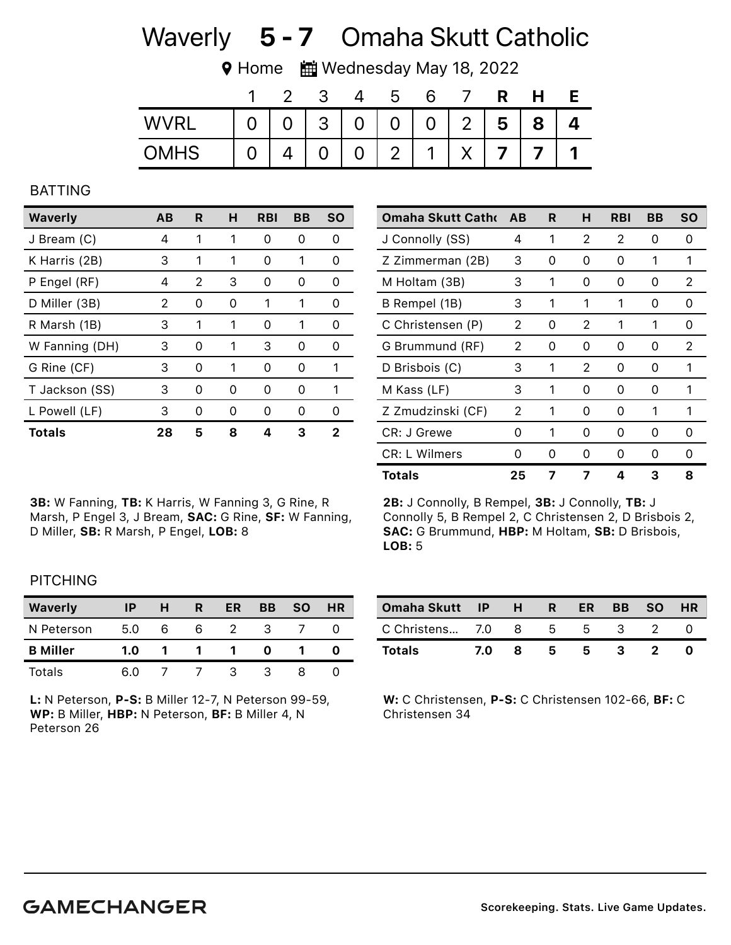# Waverly 5 - 7 Omaha Skutt Catholic

**V** Home  $\frac{1}{2}$  Wednesday May 18, 2022

|             |   |                | 2 |    | ა              |                |                 | R |   |  |
|-------------|---|----------------|---|----|----------------|----------------|-----------------|---|---|--|
| <b>WVRL</b> | 0 | $\overline{0}$ |   | 30 | 0 <sup>1</sup> | $\overline{0}$ | $\vert 2 \vert$ | 5 | 8 |  |
| <b>OMHS</b> |   |                |   | 0  | 2              | $\mathbf 1$    |                 |   |   |  |

#### BATTING

| Waverly        | AB | R. | н | <b>RBI</b> | BВ            | <b>SO</b> |
|----------------|----|----|---|------------|---------------|-----------|
| J Bream (C)    | 4  | 1  | 1 | ი          | Ω             | ი         |
| K Harris (2B)  | 3  | 1  | 1 | O          |               | Ω         |
| P Engel (RF)   | 4  | 2  | 3 | $\Omega$   | O             | 0         |
| D Miller (3B)  | 2  | O  | O |            |               | Ω         |
| R Marsh (1B)   | 3  | 1  | 1 | $\Omega$   | 1             | 0         |
| W Fanning (DH) | 3  | 0  | 1 | 3          | 0             | O         |
| G Rine (CF)    | 3  | Ω  | 1 | O)         | O             | 1         |
| T Jackson (SS) | 3  | O  | O | O          | $\mathcal{L}$ | 1         |
| L Powell (LF)  | 3  | O  | n | O          | O             | O         |
| <b>Totals</b>  | 28 | 5  | 8 |            | З             | 2         |

3B: W Fanning, TB: K Harris, W Fanning 3, G Rine, R Marsh, P Engel 3, J Bream, SAC: G Rine, SF: W Fanning, D Miller, SB: R Marsh, P Engel, LOB: 8

| <b>Omaha Skutt Catho</b> | AB | R | н | RBI | BВ | SΟ |
|--------------------------|----|---|---|-----|----|----|
| J Connolly (SS)          | 4  | 1 | 2 | 2   | Ω  | 0  |
| Z Zimmerman (2B)         | 3  | 0 | 0 | 0   | 1  | 1  |
| M Holtam (3B)            | 3  | 1 | 0 | 0   | 0  | 2  |
| B Rempel (1B)            | 3  | 1 | 1 | 1   | Ω  | 0  |
| C Christensen (P)        | 2  | O | 2 | 1   | 1  | O  |
| G Brummund (RF)          | 2  | 0 | 0 | 0   | 0  | 2  |
| D Brisbois (C)           | 3  | 1 | 2 | 0   | 0  | 1  |
| M Kass (LF)              | 3  | 1 | 0 | 0   | 0  | 1  |
| Z Zmudzinski (CF)        | 2  | 1 | ∩ | O   | 1  | 1  |
| CR: J Grewe              | 0  | 1 | 0 | 0   | Ω  | 0  |
| CR: L Wilmers            | 0  | 0 | 0 | 0   | 0  | 0  |
| Totals                   | 25 |   |   | Δ   | 3  | 8  |

2B: J Connolly, B Rempel, 3B: J Connolly, TB: J Connolly 5, B Rempel 2, C Christensen 2, D Brisbois 2, SAC: G Brummund, HBP: M Holtam, SB: D Brisbois, LOB: 5

## **PITCHING**

| <b>Waverly</b>  | ΙP  | н | R | ER | <b>BB</b> | <b>SO</b> | <b>HR</b> |
|-----------------|-----|---|---|----|-----------|-----------|-----------|
| N Peterson      | 5.0 | h | 6 |    |           |           |           |
| <b>B</b> Miller | 1.0 |   |   |    |           |           |           |
| Totals          | 60  |   |   |    |           |           |           |

L: N Peterson, P-S: B Miller 12-7, N Peterson 99-59, WP: B Miller, HBP: N Peterson, BF: B Miller 4, N Peterson 26

| Omaha Skutt IP H R ER BB SO HR |     |   |   |   |     |  |
|--------------------------------|-----|---|---|---|-----|--|
| C Christens 7.0 8 5 5 3 2      |     |   |   |   |     |  |
| Totals                         | 7.O | 8 | 5 | 5 | - 3 |  |

W: C Christensen, P-S: C Christensen 102-66, BF: C Christensen 34